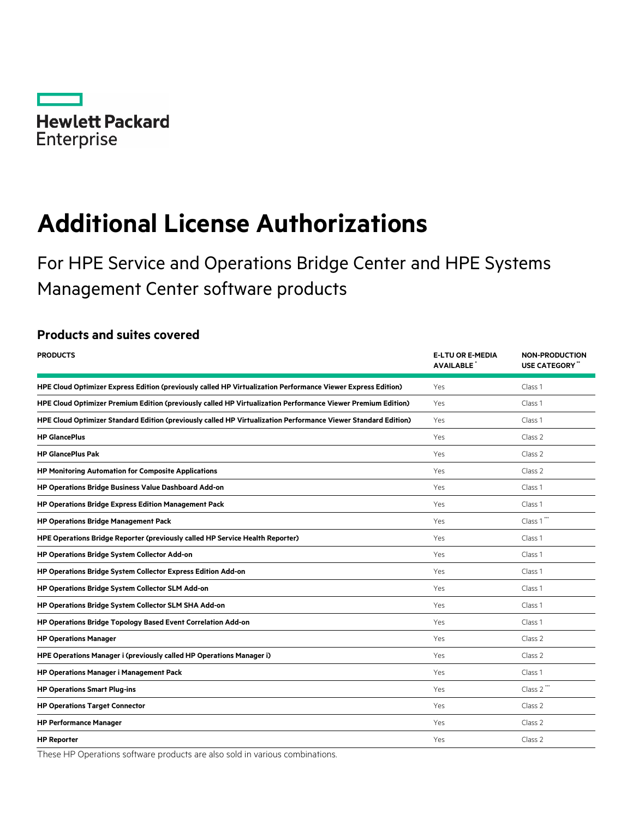

# **Additional License Authorizations**

For HPE Service and Operations Bridge Center and HPE Systems Management Center software products

# **Products and suites covered**

| <b>PRODUCTS</b>                                                                                                                | <b>E-LTU OR E-MEDIA</b><br><b>AVAILABLE</b> | <b>NON-PRODUCTION</b><br><b>USE CATEGORY</b> |  |
|--------------------------------------------------------------------------------------------------------------------------------|---------------------------------------------|----------------------------------------------|--|
| HPE Cloud Optimizer Express Edition (previously called HP Virtualization Performance Viewer Express Edition)<br>Class 1<br>Yes |                                             |                                              |  |
| HPE Cloud Optimizer Premium Edition (previously called HP Virtualization Performance Viewer Premium Edition)                   | Yes                                         | Class 1                                      |  |
| HPE Cloud Optimizer Standard Edition (previously called HP Virtualization Performance Viewer Standard Edition)                 | Yes                                         | Class 1                                      |  |
| <b>HP GlancePlus</b>                                                                                                           | Yes                                         | Class 2                                      |  |
| <b>HP GlancePlus Pak</b>                                                                                                       | Yes                                         | Class 2                                      |  |
| HP Monitoring Automation for Composite Applications                                                                            | Yes                                         | Class 2                                      |  |
| HP Operations Bridge Business Value Dashboard Add-on                                                                           | Yes                                         | Class 1                                      |  |
| <b>HP Operations Bridge Express Edition Management Pack</b>                                                                    | Yes                                         | Class 1                                      |  |
| <b>HP Operations Bridge Management Pack</b>                                                                                    | Yes                                         | Class 1"                                     |  |
| HPE Operations Bridge Reporter (previously called HP Service Health Reporter)                                                  | Yes                                         | Class 1                                      |  |
| HP Operations Bridge System Collector Add-on                                                                                   | Yes                                         | Class 1                                      |  |
| HP Operations Bridge System Collector Express Edition Add-on                                                                   | Yes                                         | Class 1                                      |  |
| HP Operations Bridge System Collector SLM Add-on                                                                               | Yes                                         | Class 1                                      |  |
| HP Operations Bridge System Collector SLM SHA Add-on                                                                           | Yes                                         | Class 1                                      |  |
| HP Operations Bridge Topology Based Event Correlation Add-on                                                                   | Yes                                         | Class 1                                      |  |
| <b>HP Operations Manager</b>                                                                                                   | Yes                                         | Class 2                                      |  |
| HPE Operations Manager i (previously called HP Operations Manager i)                                                           | Yes                                         | Class 2                                      |  |
| <b>HP Operations Manager i Management Pack</b>                                                                                 | Yes                                         | Class 1                                      |  |
| <b>HP Operations Smart Plug-ins</b>                                                                                            | Yes                                         | Class 2"                                     |  |
| <b>HP Operations Target Connector</b>                                                                                          | Yes                                         | Class 2                                      |  |
| <b>HP Performance Manager</b>                                                                                                  | Yes                                         | Class 2                                      |  |
| <b>HP Reporter</b>                                                                                                             | Yes                                         | Class 2                                      |  |

These HP Operations software products are also sold in various combinations.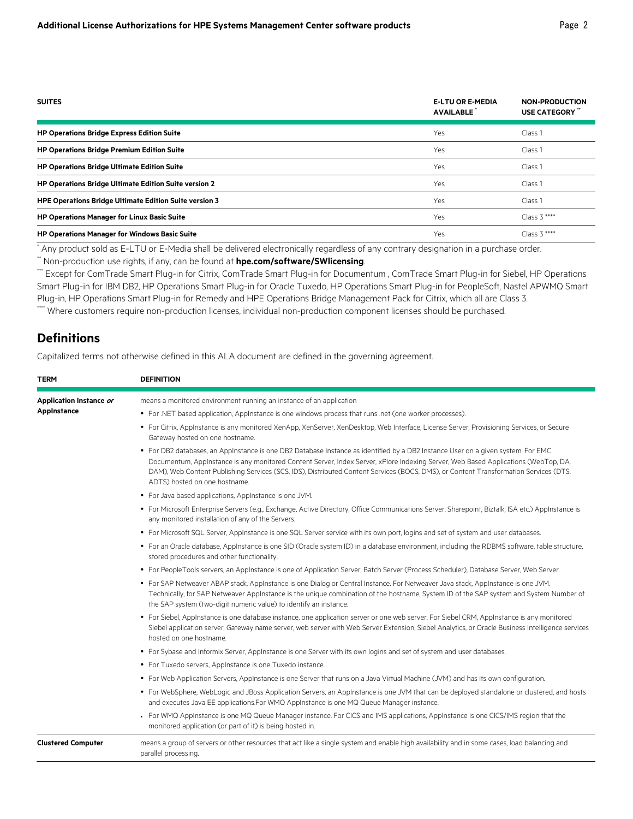| <b>SUITES</b>                                                 | <b>E-LTU OR E-MEDIA</b><br><b>AVAILABLE</b> | <b>NON-PRODUCTION</b><br><b>USE CATEGORY</b> " |
|---------------------------------------------------------------|---------------------------------------------|------------------------------------------------|
| <b>HP Operations Bridge Express Edition Suite</b>             | Yes                                         | Class 1                                        |
| <b>HP Operations Bridge Premium Edition Suite</b>             | <b>Yes</b>                                  | Class 1                                        |
| <b>HP Operations Bridge Ultimate Edition Suite</b>            | Yes                                         | Class 1                                        |
| <b>HP Operations Bridge Ultimate Edition Suite version 2</b>  | <b>Yes</b>                                  | Class 1                                        |
| <b>HPE Operations Bridge Ultimate Edition Suite version 3</b> | <b>Yes</b>                                  | Class 1                                        |
| <b>HP Operations Manager for Linux Basic Suite</b>            | <b>Yes</b>                                  | $Class 3***$                                   |
| <b>HP Operations Manager for Windows Basic Suite</b>          | <b>Yes</b>                                  | $Class 3***$                                   |

\* Any product sold as E-LTU or E-Media shall be delivered electronically regardless of any contrary designation in a purchase order.

\*\* Non-production use rights, if any, can be found at **[hpe.com/software/SWlicensing](http://www.hpe.com/software/SWlicensing)**.

\*\*\* Except for ComTrade Smart Plug-in for Citrix, ComTrade Smart Plug-in for Documentum , ComTrade Smart Plug-in for Siebel, HP Operations Smart Plug-in for IBM DB2, HP Operations Smart Plug-in for Oracle Tuxedo, HP Operations Smart Plug-in for PeopleSoft, Nastel APWMQ Smart Plug-in, HP Operations Smart Plug-in for Remedy and HPE Operations Bridge Management Pack for Citrix, which all are Class 3. \*\*\* Where customers require non-production licenses, individual non-production component licenses should be purchased.

# **Definitions**

Capitalized terms not otherwise defined in this ALA document are defined in the governing agreement.

| <b>TERM</b>                            | <b>DEFINITION</b>                                                                                                                                                                                                                                                                                                                                                                                                                               |
|----------------------------------------|-------------------------------------------------------------------------------------------------------------------------------------------------------------------------------------------------------------------------------------------------------------------------------------------------------------------------------------------------------------------------------------------------------------------------------------------------|
| Application Instance or<br>AppInstance | means a monitored environment running an instance of an application                                                                                                                                                                                                                                                                                                                                                                             |
|                                        | • For .NET based application, Applnstance is one windows process that runs .net (one worker processes).                                                                                                                                                                                                                                                                                                                                         |
|                                        | • For Citrix, AppInstance is any monitored XenApp, XenServer, XenDesktop, Web Interface, License Server, Provisioning Services, or Secure<br>Gateway hosted on one hostname.                                                                                                                                                                                                                                                                    |
|                                        | . For DB2 databases, an AppInstance is one DB2 Database Instance as identified by a DB2 Instance User on a given system. For EMC<br>Documentum, AppInstance is any monitored Content Server, Index Server, xPlore Indexing Server, Web Based Applications (WebTop, DA,<br>DAM), Web Content Publishing Services (SCS, IDS), Distributed Content Services (BOCS, DMS), or Content Transformation Services (DTS,<br>ADTS) hosted on one hostname. |
|                                        | • For Java based applications, AppInstance is one JVM.                                                                                                                                                                                                                                                                                                                                                                                          |
|                                        | • For Microsoft Enterprise Servers (e.g., Exchange, Active Directory, Office Communications Server, Sharepoint, Biztalk, ISA etc.) AppInstance is<br>any monitored installation of any of the Servers.                                                                                                                                                                                                                                          |
|                                        | • For Microsoft SQL Server, Applnstance is one SQL Server service with its own port, logins and set of system and user databases.                                                                                                                                                                                                                                                                                                               |
|                                        | • For an Oracle database, Applnstance is one SID (Oracle system ID) in a database environment, including the RDBMS software, table structure,<br>stored procedures and other functionality.                                                                                                                                                                                                                                                     |
|                                        | • For PeopleTools servers, an AppInstance is one of Application Server, Batch Server (Process Scheduler), Database Server, Web Server.                                                                                                                                                                                                                                                                                                          |
|                                        | • For SAP Netweaver ABAP stack, Applnstance is one Dialog or Central Instance. For Netweaver Java stack, Applnstance is one JVM.<br>Technically, for SAP Netweaver Applnstance is the unique combination of the hostname, System ID of the SAP system and System Number of<br>the SAP system (two-digit numeric value) to identify an instance.                                                                                                 |
|                                        | • For Siebel, AppInstance is one database instance, one application server or one web server. For Siebel CRM, AppInstance is any monitored<br>Siebel application server, Gateway name server, web server with Web Server Extension, Siebel Analytics, or Oracle Business Intelligence services<br>hosted on one hostname.                                                                                                                       |
|                                        | • For Sybase and Informix Server, Applnstance is one Server with its own logins and set of system and user databases.                                                                                                                                                                                                                                                                                                                           |
|                                        | • For Tuxedo servers, AppInstance is one Tuxedo instance.                                                                                                                                                                                                                                                                                                                                                                                       |
|                                        | • For Web Application Servers, Applnstance is one Server that runs on a Java Virtual Machine (JVM) and has its own configuration.                                                                                                                                                                                                                                                                                                               |
|                                        | • For WebSphere, WebLogic and JBoss Application Servers, an Applnstance is one JVM that can be deployed standalone or clustered, and hosts<br>and executes Java EE applications. For WMQ Applnstance is one MQ Queue Manager instance.                                                                                                                                                                                                          |
|                                        | • For WMQ AppInstance is one MQ Queue Manager instance. For CICS and IMS applications, AppInstance is one CICS/IMS region that the<br>monitored application (or part of it) is being hosted in.                                                                                                                                                                                                                                                 |
| <b>Clustered Computer</b>              | means a group of servers or other resources that act like a single system and enable high availability and in some cases, load balancing and<br>parallel processing.                                                                                                                                                                                                                                                                            |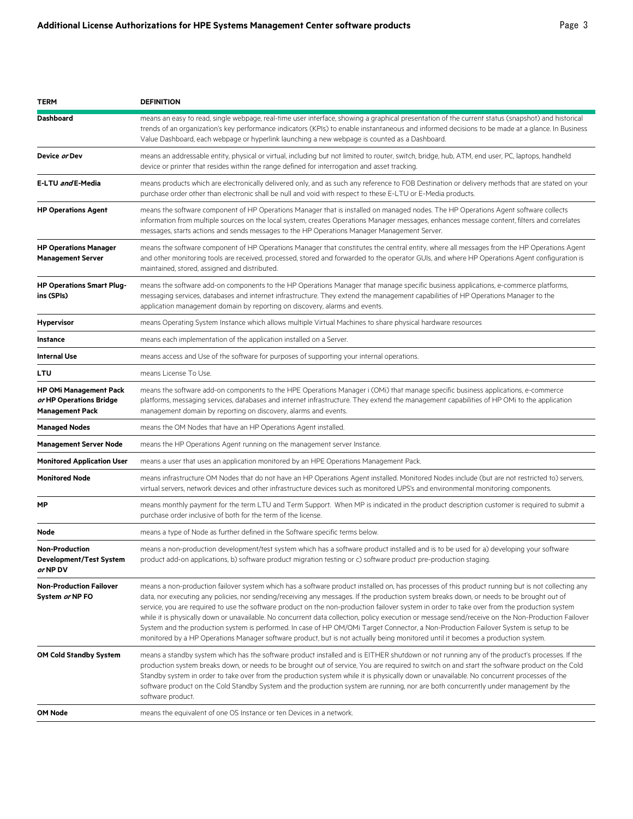| <b>TERM</b>                                                                        | <b>DEFINITION</b>                                                                                                                                                                                                                                                                                                                                                                                                                                                                                                                                                                                                                                                                                                                                                                                                                                                                 |
|------------------------------------------------------------------------------------|-----------------------------------------------------------------------------------------------------------------------------------------------------------------------------------------------------------------------------------------------------------------------------------------------------------------------------------------------------------------------------------------------------------------------------------------------------------------------------------------------------------------------------------------------------------------------------------------------------------------------------------------------------------------------------------------------------------------------------------------------------------------------------------------------------------------------------------------------------------------------------------|
| <b>Dashboard</b>                                                                   | means an easy to read, single webpage, real-time user interface, showing a graphical presentation of the current status (snapshot) and historical<br>trends of an organization's key performance indicators (KPIs) to enable instantaneous and informed decisions to be made at a glance. In Business<br>Value Dashboard, each webpage or hyperlink launching a new webpage is counted as a Dashboard.                                                                                                                                                                                                                                                                                                                                                                                                                                                                            |
| Device or Dev                                                                      | means an addressable entity, physical or virtual, including but not limited to router, switch, bridge, hub, ATM, end user, PC, laptops, handheld<br>device or printer that resides within the range defined for interrogation and asset tracking.                                                                                                                                                                                                                                                                                                                                                                                                                                                                                                                                                                                                                                 |
| E-LTU and E-Media                                                                  | means products which are electronically delivered only, and as such any reference to FOB Destination or delivery methods that are stated on your<br>purchase order other than electronic shall be null and void with respect to these E-LTU or E-Media products.                                                                                                                                                                                                                                                                                                                                                                                                                                                                                                                                                                                                                  |
| <b>HP Operations Agent</b>                                                         | means the software component of HP Operations Manager that is installed on managed nodes. The HP Operations Agent software collects<br>information from multiple sources on the local system, creates Operations Manager messages, enhances message content, filters and correlates<br>messages, starts actions and sends messages to the HP Operations Manager Management Server.                                                                                                                                                                                                                                                                                                                                                                                                                                                                                                |
| <b>HP Operations Manager</b><br><b>Management Server</b>                           | means the software component of HP Operations Manager that constitutes the central entity, where all messages from the HP Operations Agent<br>and other monitoring tools are received, processed, stored and forwarded to the operator GUIs, and where HP Operations Agent configuration is<br>maintained, stored, assigned and distributed.                                                                                                                                                                                                                                                                                                                                                                                                                                                                                                                                      |
| <b>HP Operations Smart Plug-</b><br>ins (SPIs)                                     | means the software add-on components to the HP Operations Manager that manage specific business applications, e-commerce platforms,<br>messaging services, databases and internet infrastructure. They extend the management capabilities of HP Operations Manager to the<br>application management domain by reporting on discovery, alarms and events.                                                                                                                                                                                                                                                                                                                                                                                                                                                                                                                          |
| <b>Hypervisor</b>                                                                  | means Operating System Instance which allows multiple Virtual Machines to share physical hardware resources                                                                                                                                                                                                                                                                                                                                                                                                                                                                                                                                                                                                                                                                                                                                                                       |
| <b>Instance</b>                                                                    | means each implementation of the application installed on a Server.                                                                                                                                                                                                                                                                                                                                                                                                                                                                                                                                                                                                                                                                                                                                                                                                               |
| <b>Internal Use</b>                                                                | means access and Use of the software for purposes of supporting your internal operations.                                                                                                                                                                                                                                                                                                                                                                                                                                                                                                                                                                                                                                                                                                                                                                                         |
| LTU                                                                                | means License To Use.                                                                                                                                                                                                                                                                                                                                                                                                                                                                                                                                                                                                                                                                                                                                                                                                                                                             |
| <b>HP OMi Management Pack</b><br>or HP Operations Bridge<br><b>Management Pack</b> | means the software add-on components to the HPE Operations Manager i (OMi) that manage specific business applications, e-commerce<br>platforms, messaging services, databases and internet infrastructure. They extend the management capabilities of HP OMi to the application<br>management domain by reporting on discovery, alarms and events.                                                                                                                                                                                                                                                                                                                                                                                                                                                                                                                                |
| <b>Managed Nodes</b>                                                               | means the OM Nodes that have an HP Operations Agent installed.                                                                                                                                                                                                                                                                                                                                                                                                                                                                                                                                                                                                                                                                                                                                                                                                                    |
| <b>Management Server Node</b>                                                      | means the HP Operations Agent running on the management server Instance.                                                                                                                                                                                                                                                                                                                                                                                                                                                                                                                                                                                                                                                                                                                                                                                                          |
| <b>Monitored Application User</b>                                                  | means a user that uses an application monitored by an HPE Operations Management Pack.                                                                                                                                                                                                                                                                                                                                                                                                                                                                                                                                                                                                                                                                                                                                                                                             |
| <b>Monitored Node</b>                                                              | means infrastructure OM Nodes that do not have an HP Operations Agent installed. Monitored Nodes include (but are not restricted to) servers,<br>virtual servers, network devices and other infrastructure devices such as monitored UPS's and environmental monitoring components.                                                                                                                                                                                                                                                                                                                                                                                                                                                                                                                                                                                               |
| МP                                                                                 | means monthly payment for the term LTU and Term Support. When MP is indicated in the product description customer is required to submit a<br>purchase order inclusive of both for the term of the license.                                                                                                                                                                                                                                                                                                                                                                                                                                                                                                                                                                                                                                                                        |
| Node                                                                               | means a type of Node as further defined in the Software specific terms below.                                                                                                                                                                                                                                                                                                                                                                                                                                                                                                                                                                                                                                                                                                                                                                                                     |
| <b>Non-Production</b><br>Development/Test System<br>or NP DV                       | means a non-production development/test system which has a software product installed and is to be used for a) developing your software<br>product add-on applications, b) software product migration testing or c) software product pre-production staging.                                                                                                                                                                                                                                                                                                                                                                                                                                                                                                                                                                                                                      |
| <b>Non-Production Failover</b><br>System or NP FO                                  | means a non-production failover system which has a software product installed on, has processes of this product running but is not collecting any<br>data, nor executing any policies, nor sending/receiving any messages. If the production system breaks down, or needs to be brought out of<br>service, you are required to use the software product on the non-production failover system in order to take over from the production system<br>while it is physically down or unavailable. No concurrent data collection, policy execution or message send/receive on the Non-Production Failover<br>System and the production system is performed. In case of HP OM/OMi Target Connector, a Non-Production Failover System is setup to be<br>monitored by a HP Operations Manager software product, but is not actually being monitored until it becomes a production system. |
| OM Cold Standby System                                                             | means a standby system which has the software product installed and is EITHER shutdown or not running any of the product's processes. If the<br>production system breaks down, or needs to be brought out of service, You are required to switch on and start the software product on the Cold<br>Standby system in order to take over from the production system while it is physically down or unavailable. No concurrent processes of the<br>software product on the Cold Standby System and the production system are running, nor are both concurrently under management by the<br>software product.                                                                                                                                                                                                                                                                         |
| OM Node                                                                            | means the equivalent of one OS Instance or ten Devices in a network.                                                                                                                                                                                                                                                                                                                                                                                                                                                                                                                                                                                                                                                                                                                                                                                                              |
|                                                                                    |                                                                                                                                                                                                                                                                                                                                                                                                                                                                                                                                                                                                                                                                                                                                                                                                                                                                                   |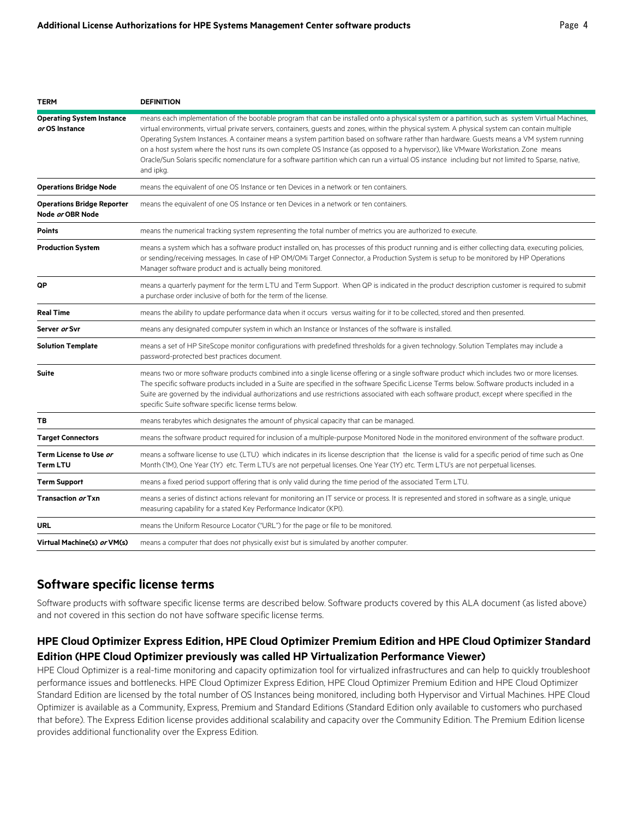| <b>TERM</b>                                           | <b>DEFINITION</b>                                                                                                                                                                                                                                                                                                                                                                                                                                                                                                                                                                                                                                                                                                                                         |
|-------------------------------------------------------|-----------------------------------------------------------------------------------------------------------------------------------------------------------------------------------------------------------------------------------------------------------------------------------------------------------------------------------------------------------------------------------------------------------------------------------------------------------------------------------------------------------------------------------------------------------------------------------------------------------------------------------------------------------------------------------------------------------------------------------------------------------|
| <b>Operating System Instance</b><br>or OS Instance    | means each implementation of the bootable program that can be installed onto a physical system or a partition, such as system Virtual Machines,<br>virtual environments, virtual private servers, containers, quests and zones, within the physical system. A physical system can contain multiple<br>Operating System Instances. A container means a system partition based on software rather than hardware. Guests means a VM system running<br>on a host system where the host runs its own complete OS Instance (as opposed to a hypervisor), like VMware Workstation. Zone means<br>Oracle/Sun Solaris specific nomenclature for a software partition which can run a virtual OS instance including but not limited to Sparse, native,<br>and ipkg. |
| <b>Operations Bridge Node</b>                         | means the equivalent of one OS Instance or ten Devices in a network or ten containers.                                                                                                                                                                                                                                                                                                                                                                                                                                                                                                                                                                                                                                                                    |
| <b>Operations Bridge Reporter</b><br>Node or OBR Node | means the equivalent of one OS Instance or ten Devices in a network or ten containers.                                                                                                                                                                                                                                                                                                                                                                                                                                                                                                                                                                                                                                                                    |
| <b>Points</b>                                         | means the numerical tracking system representing the total number of metrics you are authorized to execute.                                                                                                                                                                                                                                                                                                                                                                                                                                                                                                                                                                                                                                               |
| <b>Production System</b>                              | means a system which has a software product installed on, has processes of this product running and is either collecting data, executing policies,<br>or sending/receiving messages. In case of HP OM/OMi Target Connector, a Production System is setup to be monitored by HP Operations<br>Manager software product and is actually being monitored.                                                                                                                                                                                                                                                                                                                                                                                                    |
| QP                                                    | means a quarterly payment for the term LTU and Term Support. When QP is indicated in the product description customer is required to submit<br>a purchase order inclusive of both for the term of the license.                                                                                                                                                                                                                                                                                                                                                                                                                                                                                                                                            |
| <b>Real Time</b>                                      | means the ability to update performance data when it occurs versus waiting for it to be collected, stored and then presented.                                                                                                                                                                                                                                                                                                                                                                                                                                                                                                                                                                                                                             |
| Server or Svr                                         | means any designated computer system in which an Instance or Instances of the software is installed.                                                                                                                                                                                                                                                                                                                                                                                                                                                                                                                                                                                                                                                      |
| <b>Solution Template</b>                              | means a set of HP SiteScope monitor configurations with predefined thresholds for a given technology. Solution Templates may include a<br>password-protected best practices document.                                                                                                                                                                                                                                                                                                                                                                                                                                                                                                                                                                     |
| <b>Suite</b>                                          | means two or more software products combined into a single license offering or a single software product which includes two or more licenses.<br>The specific software products included in a Suite are specified in the software Specific License Terms below. Software products included in a<br>Suite are governed by the individual authorizations and use restrictions associated with each software product, except where specified in the<br>specific Suite software specific license terms below.                                                                                                                                                                                                                                                 |
| ТB                                                    | means terabytes which designates the amount of physical capacity that can be managed.                                                                                                                                                                                                                                                                                                                                                                                                                                                                                                                                                                                                                                                                     |
| <b>Target Connectors</b>                              | means the software product required for inclusion of a multiple-purpose Monitored Node in the monitored environment of the software product.                                                                                                                                                                                                                                                                                                                                                                                                                                                                                                                                                                                                              |
| Term License to Use <i>or</i><br><b>Term LTU</b>      | means a software license to use (LTU) which indicates in its license description that the license is valid for a specific period of time such as One<br>Month (1M), One Year (1Y) etc. Term LTU's are not perpetual licenses. One Year (1Y) etc. Term LTU's are not perpetual licenses.                                                                                                                                                                                                                                                                                                                                                                                                                                                                   |
| <b>Term Support</b>                                   | means a fixed period support offering that is only valid during the time period of the associated Term LTU.                                                                                                                                                                                                                                                                                                                                                                                                                                                                                                                                                                                                                                               |
| Transaction or Txn                                    | means a series of distinct actions relevant for monitoring an IT service or process. It is represented and stored in software as a single, unique<br>measuring capability for a stated Key Performance Indicator (KPI).                                                                                                                                                                                                                                                                                                                                                                                                                                                                                                                                   |
| <b>URL</b>                                            | means the Uniform Resource Locator ("URL") for the page or file to be monitored.                                                                                                                                                                                                                                                                                                                                                                                                                                                                                                                                                                                                                                                                          |
| Virtual Machine(s) <i>or</i> VM(s)                    | means a computer that does not physically exist but is simulated by another computer.                                                                                                                                                                                                                                                                                                                                                                                                                                                                                                                                                                                                                                                                     |

# **Software specific license terms**

Software products with software specific license terms are described below. Software products covered by this ALA document (as listed above) and not covered in this section do not have software specific license terms.

## **HPE Cloud Optimizer Express Edition, HPE Cloud Optimizer Premium Edition and HPE Cloud Optimizer Standard Edition (HPE Cloud Optimizer previously was called HP Virtualization Performance Viewer)**

HPE Cloud Optimizer is a real-time monitoring and capacity optimization tool for virtualized infrastructures and can help to quickly troubleshoot performance issues and bottlenecks. HPE Cloud Optimizer Express Edition, HPE Cloud Optimizer Premium Edition and HPE Cloud Optimizer Standard Edition are licensed by the total number of OS Instances being monitored, including both Hypervisor and Virtual Machines. HPE Cloud Optimizer is available as a Community, Express, Premium and Standard Editions (Standard Edition only available to customers who purchased that before). The Express Edition license provides additional scalability and capacity over the Community Edition. The Premium Edition license provides additional functionality over the Express Edition.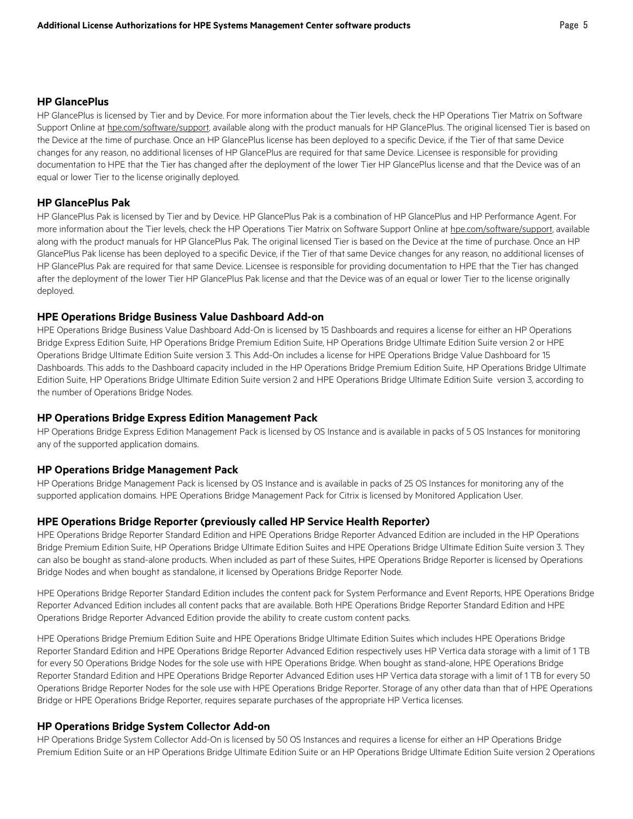#### **HP GlancePlus**

HP GlancePlus is licensed by Tier and by Device. For more information about the Tier levels, check the HP Operations Tier Matrix on Software Support Online at [hpe.com/software/support,](http://www.hpe.com/software/support) available along with the product manuals for HP GlancePlus. The original licensed Tier is based on the Device at the time of purchase. Once an HP GlancePlus license has been deployed to a specific Device, if the Tier of that same Device changes for any reason, no additional licenses of HP GlancePlus are required for that same Device. Licensee is responsible for providing documentation to HPE that the Tier has changed after the deployment of the lower Tier HP GlancePlus license and that the Device was of an equal or lower Tier to the license originally deployed.

#### **HP GlancePlus Pak**

HP GlancePlus Pak is licensed by Tier and by Device. HP GlancePlus Pak is a combination of HP GlancePlus and HP Performance Agent. For more information about the Tier levels, check the HP Operations Tier Matrix on Software Support Online at [hpe.com/software/support,](http://www.hpe.com/software/support) available along with the product manuals for HP GlancePlus Pak. The original licensed Tier is based on the Device at the time of purchase. Once an HP GlancePlus Pak license has been deployed to a specific Device, if the Tier of that same Device changes for any reason, no additional licenses of HP GlancePlus Pak are required for that same Device. Licensee is responsible for providing documentation to HPE that the Tier has changed after the deployment of the lower Tier HP GlancePlus Pak license and that the Device was of an equal or lower Tier to the license originally deployed.

#### **HPE Operations Bridge Business Value Dashboard Add-on**

HPE Operations Bridge Business Value Dashboard Add-On is licensed by 15 Dashboards and requires a license for either an HP Operations Bridge Express Edition Suite, HP Operations Bridge Premium Edition Suite, HP Operations Bridge Ultimate Edition Suite version 2 or HPE Operations Bridge Ultimate Edition Suite version 3. This Add-On includes a license for HPE Operations Bridge Value Dashboard for 15 Dashboards. This adds to the Dashboard capacity included in the HP Operations Bridge Premium Edition Suite, HP Operations Bridge Ultimate Edition Suite, HP Operations Bridge Ultimate Edition Suite version 2 and HPE Operations Bridge Ultimate Edition Suite version 3, according to the number of Operations Bridge Nodes.

#### **HP Operations Bridge Express Edition Management Pack**

HP Operations Bridge Express Edition Management Pack is licensed by OS Instance and is available in packs of 5 OS Instances for monitoring any of the supported application domains.

#### **HP Operations Bridge Management Pack**

HP Operations Bridge Management Pack is licensed by OS Instance and is available in packs of 25 OS Instances for monitoring any of the supported application domains. HPE Operations Bridge Management Pack for Citrix is licensed by Monitored Application User.

#### **HPE Operations Bridge Reporter (previously called HP Service Health Reporter)**

HPE Operations Bridge Reporter Standard Edition and HPE Operations Bridge Reporter Advanced Edition are included in the HP Operations Bridge Premium Edition Suite, HP Operations Bridge Ultimate Edition Suites and HPE Operations Bridge Ultimate Edition Suite version 3. They can also be bought as stand-alone products. When included as part of these Suites, HPE Operations Bridge Reporter is licensed by Operations Bridge Nodes and when bought as standalone, it licensed by Operations Bridge Reporter Node.

HPE Operations Bridge Reporter Standard Edition includes the content pack for System Performance and Event Reports, HPE Operations Bridge Reporter Advanced Edition includes all content packs that are available. Both HPE Operations Bridge Reporter Standard Edition and HPE Operations Bridge Reporter Advanced Edition provide the ability to create custom content packs.

HPE Operations Bridge Premium Edition Suite and HPE Operations Bridge Ultimate Edition Suites which includes HPE Operations Bridge Reporter Standard Edition and HPE Operations Bridge Reporter Advanced Edition respectively uses HP Vertica data storage with a limit of 1 TB for every 50 Operations Bridge Nodes for the sole use with HPE Operations Bridge. When bought as stand-alone, HPE Operations Bridge Reporter Standard Edition and HPE Operations Bridge Reporter Advanced Edition uses HP Vertica data storage with a limit of 1 TB for every 50 Operations Bridge Reporter Nodes for the sole use with HPE Operations Bridge Reporter. Storage of any other data than that of HPE Operations Bridge or HPE Operations Bridge Reporter, requires separate purchases of the appropriate HP Vertica licenses.

#### **HP Operations Bridge System Collector Add-on**

HP Operations Bridge System Collector Add-On is licensed by 50 OS Instances and requires a license for either an HP Operations Bridge Premium Edition Suite or an HP Operations Bridge Ultimate Edition Suite or an HP Operations Bridge Ultimate Edition Suite version 2 Operations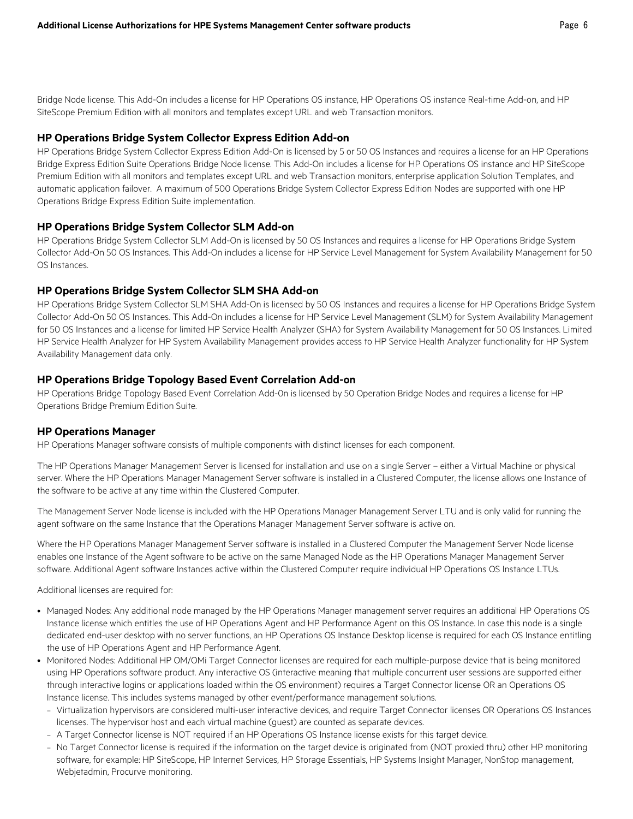Bridge Node license. This Add-On includes a license for HP Operations OS instance, HP Operations OS instance Real-time Add-on, and HP SiteScope Premium Edition with all monitors and templates except URL and web Transaction monitors.

#### **HP Operations Bridge System Collector Express Edition Add-on**

HP Operations Bridge System Collector Express Edition Add-On is licensed by 5 or 50 OS Instances and requires a license for an HP Operations Bridge Express Edition Suite Operations Bridge Node license. This Add-On includes a license for HP Operations OS instance and HP SiteScope Premium Edition with all monitors and templates except URL and web Transaction monitors, enterprise application Solution Templates, and automatic application failover. A maximum of 500 Operations Bridge System Collector Express Edition Nodes are supported with one HP Operations Bridge Express Edition Suite implementation.

#### **HP Operations Bridge System Collector SLM Add-on**

HP Operations Bridge System Collector SLM Add-On is licensed by 50 OS Instances and requires a license for HP Operations Bridge System Collector Add-On 50 OS Instances. This Add-On includes a license for HP Service Level Management for System Availability Management for 50 OS Instances.

#### **HP Operations Bridge System Collector SLM SHA Add-on**

HP Operations Bridge System Collector SLM SHA Add-On is licensed by 50 OS Instances and requires a license for HP Operations Bridge System Collector Add-On 50 OS Instances. This Add-On includes a license for HP Service Level Management (SLM) for System Availability Management for 50 OS Instances and a license for limited HP Service Health Analyzer (SHA) for System Availability Management for 50 OS Instances. Limited HP Service Health Analyzer for HP System Availability Management provides access to HP Service Health Analyzer functionality for HP System Availability Management data only.

#### **HP Operations Bridge Topology Based Event Correlation Add-on**

HP Operations Bridge Topology Based Event Correlation Add-0n is licensed by 50 Operation Bridge Nodes and requires a license for HP Operations Bridge Premium Edition Suite.

#### **HP Operations Manager**

HP Operations Manager software consists of multiple components with distinct licenses for each component.

The HP Operations Manager Management Server is licensed for installation and use on a single Server – either a Virtual Machine or physical server. Where the HP Operations Manager Management Server software is installed in a Clustered Computer, the license allows one Instance of the software to be active at any time within the Clustered Computer.

The Management Server Node license is included with the HP Operations Manager Management Server LTU and is only valid for running the agent software on the same Instance that the Operations Manager Management Server software is active on.

Where the HP Operations Manager Management Server software is installed in a Clustered Computer the Management Server Node license enables one Instance of the Agent software to be active on the same Managed Node as the HP Operations Manager Management Server software. Additional Agent software Instances active within the Clustered Computer require individual HP Operations OS Instance LTUs.

Additional licenses are required for:

- Managed Nodes: Any additional node managed by the HP Operations Manager management server requires an additional HP Operations OS Instance license which entitles the use of HP Operations Agent and HP Performance Agent on this OS Instance. In case this node is a single dedicated end-user desktop with no server functions, an HP Operations OS Instance Desktop license is required for each OS Instance entitling the use of HP Operations Agent and HP Performance Agent.
- Monitored Nodes: Additional HP OM/OMi Target Connector licenses are required for each multiple-purpose device that is being monitored using HP Operations software product. Any interactive OS (interactive meaning that multiple concurrent user sessions are supported either through interactive logins or applications loaded within the OS environment) requires a Target Connector license OR an Operations OS Instance license. This includes systems managed by other event/performance management solutions.
	- Virtualization hypervisors are considered multi-user interactive devices, and require Target Connector licenses OR Operations OS Instances licenses. The hypervisor host and each virtual machine (guest) are counted as separate devices.
	- A Target Connector license is NOT required if an HP Operations OS Instance license exists for this target device.
	- No Target Connector license is required if the information on the target device is originated from (NOT proxied thru) other HP monitoring software, for example: HP SiteScope, HP Internet Services, HP Storage Essentials, HP Systems Insight Manager, NonStop management, Webjetadmin, Procurve monitoring.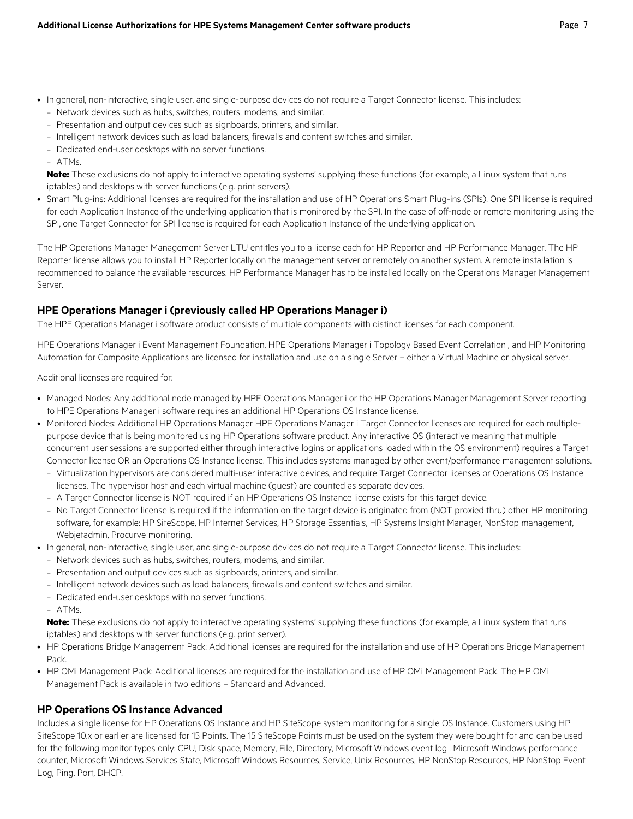- In general, non-interactive, single user, and single-purpose devices do not require a Target Connector license. This includes:
	- Network devices such as hubs, switches, routers, modems, and similar.
	- Presentation and output devices such as signboards, printers, and similar.
	- Intelligent network devices such as load balancers, firewalls and content switches and similar.
	- Dedicated end-user desktops with no server functions.
	- ATMs.

**Note:** These exclusions do not apply to interactive operating systems' supplying these functions (for example, a Linux system that runs iptables) and desktops with server functions (e.g. print servers).

• Smart Plug-ins: Additional licenses are required for the installation and use of HP Operations Smart Plug-ins (SPIs). One SPI license is required for each Application Instance of the underlying application that is monitored by the SPI. In the case of off-node or remote monitoring using the SPI, one Target Connector for SPI license is required for each Application Instance of the underlying application.

The HP Operations Manager Management Server LTU entitles you to a license each for HP Reporter and HP Performance Manager. The HP Reporter license allows you to install HP Reporter locally on the management server or remotely on another system. A remote installation is recommended to balance the available resources. HP Performance Manager has to be installed locally on the Operations Manager Management Server.

## **HPE Operations Manager i (previously called HP Operations Manager i)**

The HPE Operations Manager i software product consists of multiple components with distinct licenses for each component.

HPE Operations Manager i Event Management Foundation, HPE Operations Manager i Topology Based Event Correlation , and HP Monitoring Automation for Composite Applications are licensed for installation and use on a single Server – either a Virtual Machine or physical server.

Additional licenses are required for:

- Managed Nodes: Any additional node managed by HPE Operations Manager i or the HP Operations Manager Management Server reporting to HPE Operations Manager i software requires an additional HP Operations OS Instance license.
- Monitored Nodes: Additional HP Operations Manager HPE Operations Manager i Target Connector licenses are required for each multiplepurpose device that is being monitored using HP Operations software product. Any interactive OS (interactive meaning that multiple concurrent user sessions are supported either through interactive logins or applications loaded within the OS environment) requires a Target Connector license OR an Operations OS Instance license. This includes systems managed by other event/performance management solutions.
	- Virtualization hypervisors are considered multi-user interactive devices, and require Target Connector licenses or Operations OS Instance licenses. The hypervisor host and each virtual machine (guest) are counted as separate devices.
	- A Target Connector license is NOT required if an HP Operations OS Instance license exists for this target device.
	- No Target Connector license is required if the information on the target device is originated from (NOT proxied thru) other HP monitoring software, for example: HP SiteScope, HP Internet Services, HP Storage Essentials, HP Systems Insight Manager, NonStop management, Webjetadmin, Procurve monitoring.
- In general, non-interactive, single user, and single-purpose devices do not require a Target Connector license. This includes:
	- Network devices such as hubs, switches, routers, modems, and similar.
	- Presentation and output devices such as signboards, printers, and similar.
	- Intelligent network devices such as load balancers, firewalls and content switches and similar.
	- Dedicated end-user desktops with no server functions.
	- ATMs.

**Note:** These exclusions do not apply to interactive operating systems' supplying these functions (for example, a Linux system that runs iptables) and desktops with server functions (e.g. print server).

- HP Operations Bridge Management Pack: Additional licenses are required for the installation and use of HP Operations Bridge Management Pack.
- HP OMi Management Pack: Additional licenses are required for the installation and use of HP OMi Management Pack. The HP OMi Management Pack is available in two editions – Standard and Advanced.

## **HP Operations OS Instance Advanced**

Includes a single license for HP Operations OS Instance and HP SiteScope system monitoring for a single OS Instance. Customers using HP SiteScope 10.x or earlier are licensed for 15 Points. The 15 SiteScope Points must be used on the system they were bought for and can be used for the following monitor types only: CPU, Disk space, Memory, File, Directory, Microsoft Windows event log , Microsoft Windows performance counter, Microsoft Windows Services State, Microsoft Windows Resources, Service, Unix Resources, HP NonStop Resources, HP NonStop Event Log, Ping, Port, DHCP.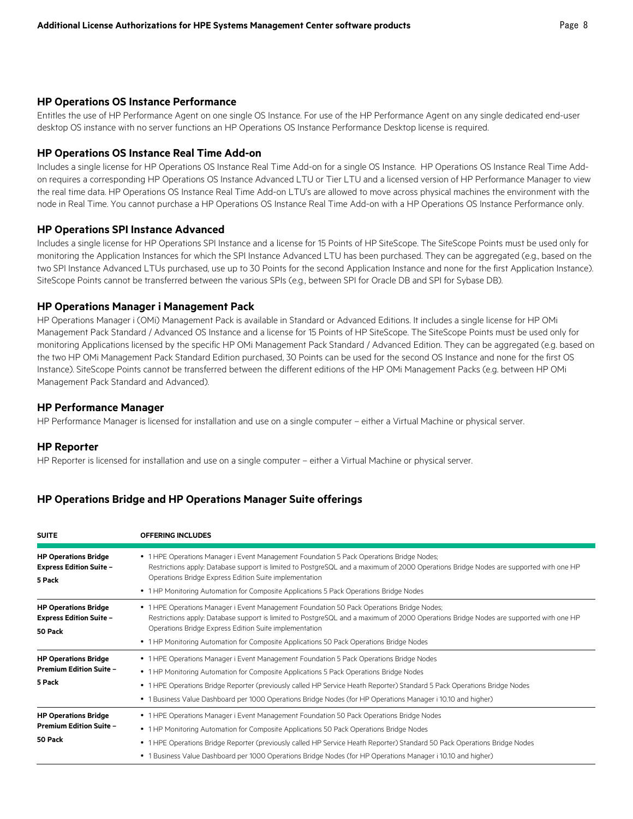#### **HP Operations OS Instance Performance**

Entitles the use of HP Performance Agent on one single OS Instance. For use of the HP Performance Agent on any single dedicated end-user desktop OS instance with no server functions an HP Operations OS Instance Performance Desktop license is required.

#### **HP Operations OS Instance Real Time Add-on**

Includes a single license for HP Operations OS Instance Real Time Add-on for a single OS Instance. HP Operations OS Instance Real Time Addon requires a corresponding HP Operations OS Instance Advanced LTU or Tier LTU and a licensed version of HP Performance Manager to view the real time data. HP Operations OS Instance Real Time Add-on LTU's are allowed to move across physical machines the environment with the node in Real Time. You cannot purchase a HP Operations OS Instance Real Time Add-on with a HP Operations OS Instance Performance only.

#### **HP Operations SPI Instance Advanced**

Includes a single license for HP Operations SPI Instance and a license for 15 Points of HP SiteScope. The SiteScope Points must be used only for monitoring the Application Instances for which the SPI Instance Advanced LTU has been purchased. They can be aggregated (e.g., based on the two SPI Instance Advanced LTUs purchased, use up to 30 Points for the second Application Instance and none for the first Application Instance). SiteScope Points cannot be transferred between the various SPIs (e.g., between SPI for Oracle DB and SPI for Sybase DB).

#### **HP Operations Manager i Management Pack**

HP Operations Manager i (OMi) Management Pack is available in Standard or Advanced Editions. It includes a single license for HP OMi Management Pack Standard / Advanced OS Instance and a license for 15 Points of HP SiteScope. The SiteScope Points must be used only for monitoring Applications licensed by the specific HP OMi Management Pack Standard / Advanced Edition. They can be aggregated (e.g. based on the two HP OMi Management Pack Standard Edition purchased, 30 Points can be used for the second OS Instance and none for the first OS Instance). SiteScope Points cannot be transferred between the different editions of the HP OMi Management Packs (e.g. between HP OMi Management Pack Standard and Advanced).

#### **HP Performance Manager**

HP Performance Manager is licensed for installation and use on a single computer – either a Virtual Machine or physical server.

#### **HP Reporter**

HP Reporter is licensed for installation and use on a single computer – either a Virtual Machine or physical server.

#### **HP Operations Bridge and HP Operations Manager Suite offerings**

| <b>SUITE</b>                                                             | <b>OFFERING INCLUDES</b>                                                                                                                                                                                                                                                                                                                                                                                                         |
|--------------------------------------------------------------------------|----------------------------------------------------------------------------------------------------------------------------------------------------------------------------------------------------------------------------------------------------------------------------------------------------------------------------------------------------------------------------------------------------------------------------------|
| <b>HP Operations Bridge</b><br><b>Express Edition Suite -</b><br>5 Pack  | • 1 HPE Operations Manager i Event Management Foundation 5 Pack Operations Bridge Nodes;<br>Restrictions apply: Database support is limited to PostgreSQL and a maximum of 2000 Operations Bridge Nodes are supported with one HP<br>Operations Bridge Express Edition Suite implementation<br>• 1 HP Monitoring Automation for Composite Applications 5 Pack Operations Bridge Nodes                                            |
| <b>HP Operations Bridge</b><br><b>Express Edition Suite -</b><br>50 Pack | • 1 HPE Operations Manager i Event Management Foundation 50 Pack Operations Bridge Nodes;<br>Restrictions apply: Database support is limited to PostgreSQL and a maximum of 2000 Operations Bridge Nodes are supported with one HP<br>Operations Bridge Express Edition Suite implementation<br>• 1 HP Monitoring Automation for Composite Applications 50 Pack Operations Bridge Nodes                                          |
| <b>HP Operations Bridge</b><br><b>Premium Edition Suite -</b><br>5 Pack  | • 1 HPE Operations Manager i Event Management Foundation 5 Pack Operations Bridge Nodes<br>• 1 HP Monitoring Automation for Composite Applications 5 Pack Operations Bridge Nodes<br>• 1 HPE Operations Bridge Reporter (previously called HP Service Heath Reporter) Standard 5 Pack Operations Bridge Nodes<br>• 1 Business Value Dashboard per 1000 Operations Bridge Nodes (for HP Operations Manager i 10.10 and higher)    |
| <b>HP Operations Bridge</b><br><b>Premium Edition Suite -</b><br>50 Pack | • 1 HPE Operations Manager i Event Management Foundation 50 Pack Operations Bridge Nodes<br>• 1 HP Monitoring Automation for Composite Applications 50 Pack Operations Bridge Nodes<br>• 1 HPE Operations Bridge Reporter (previously called HP Service Heath Reporter) Standard 50 Pack Operations Bridge Nodes<br>• 1 Business Value Dashboard per 1000 Operations Bridge Nodes (for HP Operations Manager i 10.10 and higher) |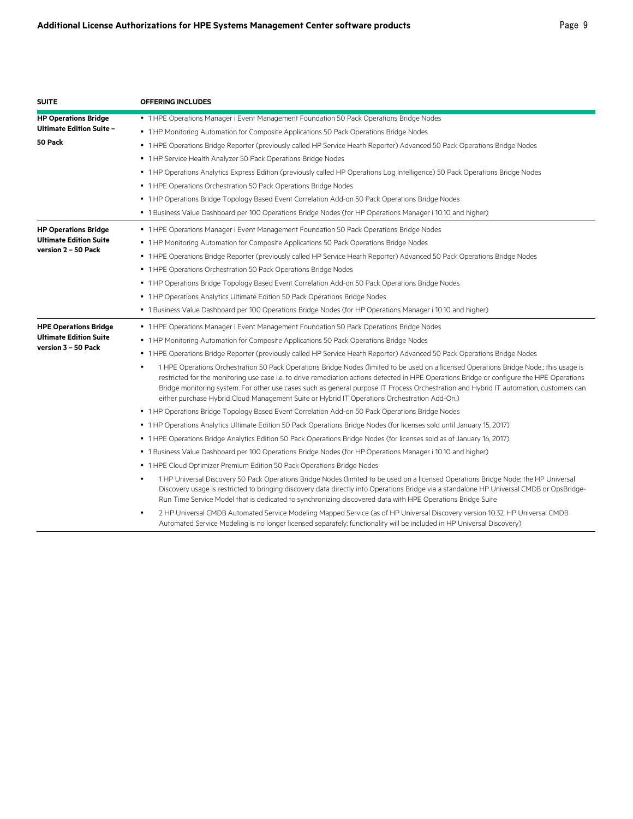| <b>SUITE</b>                    | <b>OFFERING INCLUDES</b>                                                                                                                                                                                                                                                                                                                                                                                                                                                                                                       |
|---------------------------------|--------------------------------------------------------------------------------------------------------------------------------------------------------------------------------------------------------------------------------------------------------------------------------------------------------------------------------------------------------------------------------------------------------------------------------------------------------------------------------------------------------------------------------|
| <b>HP Operations Bridge</b>     | • 1 HPE Operations Manager i Event Management Foundation 50 Pack Operations Bridge Nodes                                                                                                                                                                                                                                                                                                                                                                                                                                       |
| <b>Ultimate Edition Suite -</b> | • 1 HP Monitoring Automation for Composite Applications 50 Pack Operations Bridge Nodes                                                                                                                                                                                                                                                                                                                                                                                                                                        |
| 50 Pack                         | • 1 HPE Operations Bridge Reporter (previously called HP Service Heath Reporter) Advanced 50 Pack Operations Bridge Nodes                                                                                                                                                                                                                                                                                                                                                                                                      |
|                                 | • 1 HP Service Health Analyzer 50 Pack Operations Bridge Nodes                                                                                                                                                                                                                                                                                                                                                                                                                                                                 |
|                                 | • 1 HP Operations Analytics Express Edition (previously called HP Operations Log Intelligence) 50 Pack Operations Bridge Nodes                                                                                                                                                                                                                                                                                                                                                                                                 |
|                                 | • 1 HPE Operations Orchestration 50 Pack Operations Bridge Nodes                                                                                                                                                                                                                                                                                                                                                                                                                                                               |
|                                 | • 1 HP Operations Bridge Topology Based Event Correlation Add-on 50 Pack Operations Bridge Nodes                                                                                                                                                                                                                                                                                                                                                                                                                               |
|                                 | • 1 Business Value Dashboard per 100 Operations Bridge Nodes (for HP Operations Manager i 10.10 and higher)                                                                                                                                                                                                                                                                                                                                                                                                                    |
| <b>HP Operations Bridge</b>     | • 1 HPE Operations Manager i Event Management Foundation 50 Pack Operations Bridge Nodes                                                                                                                                                                                                                                                                                                                                                                                                                                       |
| <b>Ultimate Edition Suite</b>   | • 1 HP Monitoring Automation for Composite Applications 50 Pack Operations Bridge Nodes                                                                                                                                                                                                                                                                                                                                                                                                                                        |
| version 2 – 50 Pack             | • 1 HPE Operations Bridge Reporter (previously called HP Service Heath Reporter) Advanced 50 Pack Operations Bridge Nodes                                                                                                                                                                                                                                                                                                                                                                                                      |
|                                 | • 1 HPE Operations Orchestration 50 Pack Operations Bridge Nodes                                                                                                                                                                                                                                                                                                                                                                                                                                                               |
|                                 | • 1 HP Operations Bridge Topology Based Event Correlation Add-on 50 Pack Operations Bridge Nodes                                                                                                                                                                                                                                                                                                                                                                                                                               |
|                                 | • 1 HP Operations Analytics Ultimate Edition 50 Pack Operations Bridge Nodes                                                                                                                                                                                                                                                                                                                                                                                                                                                   |
|                                 | • 1 Business Value Dashboard per 100 Operations Bridge Nodes (for HP Operations Manager i 10.10 and higher)                                                                                                                                                                                                                                                                                                                                                                                                                    |
| <b>HPE Operations Bridge</b>    | • 1 HPE Operations Manager i Event Management Foundation 50 Pack Operations Bridge Nodes                                                                                                                                                                                                                                                                                                                                                                                                                                       |
| <b>Ultimate Edition Suite</b>   | • 1 HP Monitoring Automation for Composite Applications 50 Pack Operations Bridge Nodes                                                                                                                                                                                                                                                                                                                                                                                                                                        |
| version 3 - 50 Pack             | • 1 HPE Operations Bridge Reporter (previously called HP Service Heath Reporter) Advanced 50 Pack Operations Bridge Nodes                                                                                                                                                                                                                                                                                                                                                                                                      |
|                                 | 1 HPE Operations Orchestration 50 Pack Operations Bridge Nodes (limited to be used on a licensed Operations Bridge Node; this usage is<br>restricted for the monitoring use case i.e. to drive remediation actions detected in HPE Operations Bridge or configure the HPE Operations<br>Bridge monitoring system. For other use cases such as general purpose IT Process Orchestration and Hybrid IT automation, customers can<br>either purchase Hybrid Cloud Management Suite or Hybrid IT Operations Orchestration Add-On.) |
|                                 | • 1 HP Operations Bridge Topology Based Event Correlation Add-on 50 Pack Operations Bridge Nodes                                                                                                                                                                                                                                                                                                                                                                                                                               |
|                                 | • 1 HP Operations Analytics Ultimate Edition 50 Pack Operations Bridge Nodes (for licenses sold until January 15, 2017)                                                                                                                                                                                                                                                                                                                                                                                                        |
|                                 | . 1 HPE Operations Bridge Analytics Edition 50 Pack Operations Bridge Nodes (for licenses sold as of January 16, 2017)                                                                                                                                                                                                                                                                                                                                                                                                         |
|                                 | • 1 Business Value Dashboard per 100 Operations Bridge Nodes (for HP Operations Manager i 10.10 and higher)                                                                                                                                                                                                                                                                                                                                                                                                                    |
|                                 | • 1 HPE Cloud Optimizer Premium Edition 50 Pack Operations Bridge Nodes                                                                                                                                                                                                                                                                                                                                                                                                                                                        |
|                                 | 1 HP Universal Discovery 50 Pack Operations Bridge Nodes (limited to be used on a licensed Operations Bridge Node; the HP Universal<br>Discovery usage is restricted to bringing discovery data directly into Operations Bridge via a standalone HP Universal CMDB or OpsBridge-<br>Run Time Service Model that is dedicated to synchronizing discovered data with HPE Operations Bridge Suite                                                                                                                                 |
|                                 | 2 HP Universal CMDB Automated Service Modeling Mapped Service (as of HP Universal Discovery version 10.32, HP Universal CMDB<br>Automated Service Modeling is no longer licensed separately; functionality will be included in HP Universal Discovery)                                                                                                                                                                                                                                                                         |